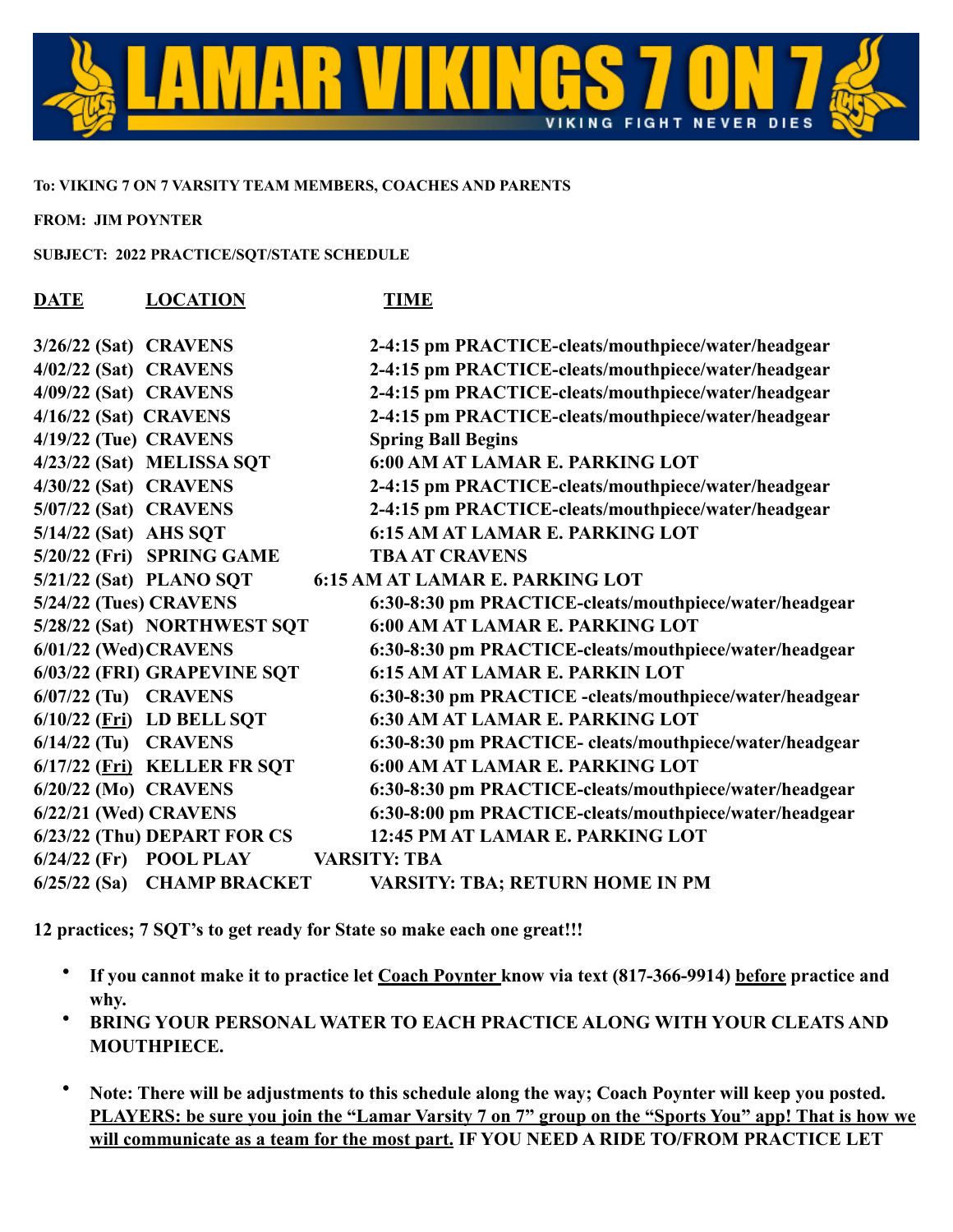

## **To: VIKING 7 ON 7 VARSITY TEAM MEMBERS, COACHES AND PARENTS**

**FROM: JIM POYNTER**

**SUBJECT: 2022 PRACTICE/SQT/STATE SCHEDULE**

| <b>DATE</b>            | <b>LOCATION</b>             | <b>TIME</b>                                             |
|------------------------|-----------------------------|---------------------------------------------------------|
| 3/26/22 (Sat) CRAVENS  |                             | 2-4:15 pm PRACTICE-cleats/mouthpiece/water/headgear     |
| 4/02/22 (Sat) CRAVENS  |                             | 2-4:15 pm PRACTICE-cleats/mouthpiece/water/headgear     |
| 4/09/22 (Sat) CRAVENS  |                             | 2-4:15 pm PRACTICE-cleats/mouthpiece/water/headgear     |
| 4/16/22 (Sat) CRAVENS  |                             | 2-4:15 pm PRACTICE-cleats/mouthpiece/water/headgear     |
| 4/19/22 (Tue) CRAVENS  |                             | <b>Spring Ball Begins</b>                               |
|                        | 4/23/22 (Sat) MELISSA SQT   | <b>6:00 AM AT LAMAR E. PARKING LOT</b>                  |
| 4/30/22 (Sat) CRAVENS  |                             | 2-4:15 pm PRACTICE-cleats/mouthpiece/water/headgear     |
| 5/07/22 (Sat) CRAVENS  |                             | 2-4:15 pm PRACTICE-cleats/mouthpiece/water/headgear     |
| 5/14/22 (Sat) AHS SQT  |                             | <b>6:15 AM AT LAMAR E. PARKING LOT</b>                  |
|                        | 5/20/22 (Fri) SPRING GAME   | <b>TBA AT CRAVENS</b>                                   |
|                        | 5/21/22 (Sat) PLANO SQT     | <b>6:15 AM AT LAMAR E. PARKING LOT</b>                  |
| 5/24/22 (Tues) CRAVENS |                             | 6:30-8:30 pm PRACTICE-cleats/mouthpiece/water/headgear  |
|                        | 5/28/22 (Sat) NORTHWEST SQT | 6:00 AM AT LAMAR E. PARKING LOT                         |
| 6/01/22 (Wed) CRAVENS  |                             | 6:30-8:30 pm PRACTICE-cleats/mouthpiece/water/headgear  |
|                        | 6/03/22 (FRI) GRAPEVINE SQT | <b>6:15 AM AT LAMAR E. PARKIN LOT</b>                   |
| $6/07/22$ (Tu) CRAVENS |                             | 6:30-8:30 pm PRACTICE -cleats/mouthpiece/water/headgear |
|                        | $6/10/22$ (Fri) LD BELL SQT | <b>6:30 AM AT LAMAR E. PARKING LOT</b>                  |
| $6/14/22$ (Tu) CRAVENS |                             | 6:30-8:30 pm PRACTICE- cleats/mouthpiece/water/headgear |
|                        | 6/17/22 (Fri) KELLER FR SQT | <b>6:00 AM AT LAMAR E. PARKING LOT</b>                  |
| 6/20/22 (Mo) CRAVENS   |                             | 6:30-8:30 pm PRACTICE-cleats/mouthpiece/water/headgear  |
| 6/22/21 (Wed) CRAVENS  |                             | 6:30-8:00 pm PRACTICE-cleats/mouthpiece/water/headgear  |
|                        | 6/23/22 (Thu) DEPART FOR CS | 12:45 PM AT LAMAR E. PARKING LOT                        |
|                        | $6/24/22$ (Fr) POOL PLAY    | <b>VARSITY: TBA</b>                                     |
| $6/25/22$ (Sa)         | <b>CHAMP BRACKET</b>        | <b>VARSITY: TBA; RETURN HOME IN PM</b>                  |

**12 practices; 7 SQT's to get ready for State so make each one great!!!**

- **If you cannot make it to practice let Coach Poynter know via text (817-366-9914) before practice and why.**
- **BRING YOUR PERSONAL WATER TO EACH PRACTICE ALONG WITH YOUR CLEATS AND MOUTHPIECE.**
- **Note: There will be adjustments to this schedule along the way; Coach Poynter will keep you posted. PLAYERS: be sure you join the "Lamar Varsity 7 on 7" group on the "Sports You" app! That is how we will communicate as a team for the most part. IF YOU NEED A RIDE TO/FROM PRACTICE LET**